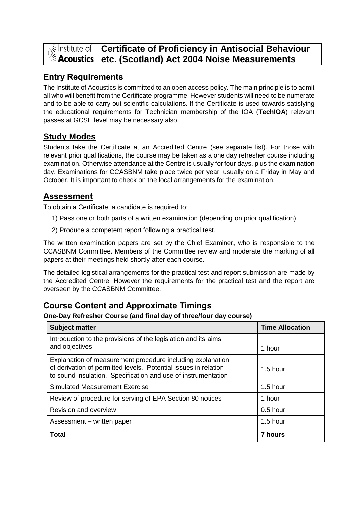

# **Constitute of Certificate of Proficiency in Antisocial Behaviour** Acoustics etc. (Scotland) Act 2004 Noise Measurements

### **Entry Requirements**

The Institute of Acoustics is committed to an open access policy. The main principle is to admit all who will benefit from the Certificate programme. However students will need to be numerate and to be able to carry out scientific calculations. If the Certificate is used towards satisfying the educational requirements for Technician membership of the IOA (**TechIOA**) relevant passes at GCSE level may be necessary also.

#### **Study Modes**

Students take the Certificate at an Accredited Centre (see separate list). For those with relevant prior qualifications, the course may be taken as a one day refresher course including examination. Otherwise attendance at the Centre is usually for four days, plus the examination day. Examinations for CCASBNM take place twice per year, usually on a Friday in May and October. It is important to check on the local arrangements for the examination.

#### **Assessment**

To obtain a Certificate, a candidate is required to;

- 1) Pass one or both parts of a written examination (depending on prior qualification)
- 2) Produce a competent report following a practical test.

The written examination papers are set by the Chief Examiner, who is responsible to the CCASBNM Committee. Members of the Committee review and moderate the marking of all papers at their meetings held shortly after each course.

The detailed logistical arrangements for the practical test and report submission are made by the Accredited Centre. However the requirements for the practical test and the report are overseen by the CCASBNM Committee.

## **Course Content and Approximate Timings**

**One-Day Refresher Course (and final day of three/four day course)**

| <b>Subject matter</b>                                                                                                                                                                          | <b>Time Allocation</b> |
|------------------------------------------------------------------------------------------------------------------------------------------------------------------------------------------------|------------------------|
| Introduction to the provisions of the legislation and its aims<br>and objectives                                                                                                               | 1 hour                 |
| Explanation of measurement procedure including explanation<br>of derivation of permitted levels. Potential issues in relation<br>to sound insulation. Specification and use of instrumentation | $1.5$ hour             |
| <b>Simulated Measurement Exercise</b>                                                                                                                                                          | $1.5$ hour             |
| Review of procedure for serving of EPA Section 80 notices                                                                                                                                      | 1 hour                 |
| <b>Revision and overview</b>                                                                                                                                                                   | $0.5$ hour             |
| Assessment - written paper                                                                                                                                                                     | $1.5$ hour             |
| <b>Total</b>                                                                                                                                                                                   | <b>7 hours</b>         |